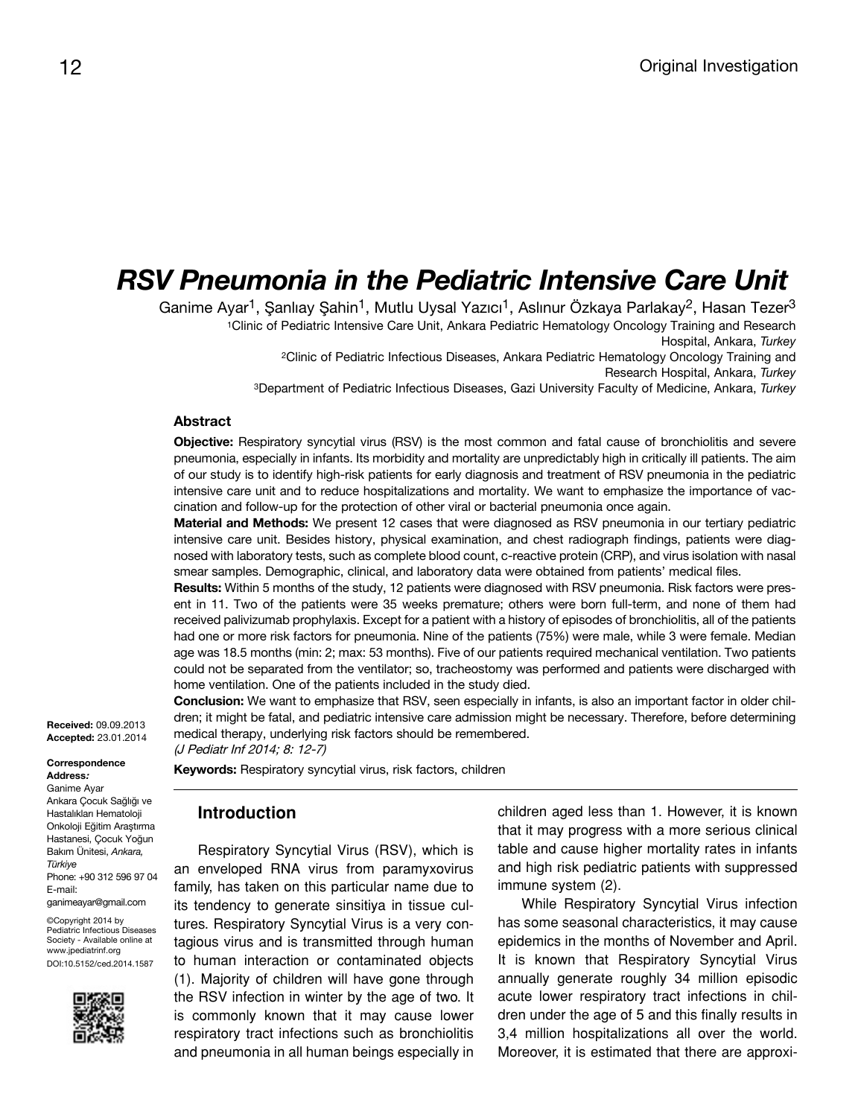# *RSV Pneumonia in the Pediatric Intensive Care Unit*

Ganime Ayar<sup>1</sup>, Şanlıay Şahin<sup>1</sup>, Mutlu Uysal Yazıcı<sup>1</sup>, Aslınur Özkaya Parlakay<sup>2</sup>, Hasan Tezer<sup>3</sup> <sup>1</sup>Clinic of Pediatric Intensive Care Unit, Ankara Pediatric Hematology Oncology Training and Research Hospital, Ankara, *Turkey* <sup>2</sup>Clinic of Pediatric Infectious Diseases, Ankara Pediatric Hematology Oncology Training and Research Hospital, Ankara, *Turkey*

<sup>3</sup>Department of Pediatric Infectious Diseases, Gazi University Faculty of Medicine, Ankara, *Turkey*

#### **Abstract**

**Objective:** Respiratory syncytial virus (RSV) is the most common and fatal cause of bronchiolitis and severe pneumonia, especially in infants. Its morbidity and mortality are unpredictably high in critically ill patients. The aim of our study is to identify high-risk patients for early diagnosis and treatment of RSV pneumonia in the pediatric intensive care unit and to reduce hospitalizations and mortality. We want to emphasize the importance of vaccination and follow-up for the protection of other viral or bacterial pneumonia once again.

**Material and Methods:** We present 12 cases that were diagnosed as RSV pneumonia in our tertiary pediatric intensive care unit. Besides history, physical examination, and chest radiograph findings, patients were diagnosed with laboratory tests, such as complete blood count, c-reactive protein (CRP), and virus isolation with nasal smear samples. Demographic, clinical, and laboratory data were obtained from patients' medical files.

**Results:** Within 5 months of the study, 12 patients were diagnosed with RSV pneumonia. Risk factors were present in 11. Two of the patients were 35 weeks premature; others were born full-term, and none of them had received palivizumab prophylaxis. Except for a patient with a history of episodes of bronchiolitis, all of the patients had one or more risk factors for pneumonia. Nine of the patients (75%) were male, while 3 were female. Median age was 18.5 months (min: 2; max: 53 months). Five of our patients required mechanical ventilation. Two patients could not be separated from the ventilator; so, tracheostomy was performed and patients were discharged with home ventilation. One of the patients included in the study died.

**Conclusion:** We want to emphasize that RSV, seen especially in infants, is also an important factor in older children; it might be fatal, and pediatric intensive care admission might be necessary. Therefore, before determining medical therapy, underlying risk factors should be remembered.

(J Pediatr Inf 2014; 8: 12-7)

**Keywords:** Respiratory syncytial virus, risk factors, children

# **Introduction**

Respiratory Syncytial Virus (RSV), which is an enveloped RNA virus from paramyxovirus family, has taken on this particular name due to its tendency to generate sinsitiya in tissue cultures. Respiratory Syncytial Virus is a very contagious virus and is transmitted through human to human interaction or contaminated objects (1). Majority of children will have gone through the RSV infection in winter by the age of two. It is commonly known that it may cause lower respiratory tract infections such as bronchiolitis and pneumonia in all human beings especially in children aged less than 1. However, it is known that it may progress with a more serious clinical table and cause higher mortality rates in infants and high risk pediatric patients with suppressed immune system (2).

While Respiratory Syncytial Virus infection has some seasonal characteristics, it may cause epidemics in the months of November and April. It is known that Respiratory Syncytial Virus annually generate roughly 34 million episodic acute lower respiratory tract infections in children under the age of 5 and this finally results in 3,4 million hospitalizations all over the world. Moreover, it is estimated that there are approxi-

**Received:** 09.09.2013 **Accepted:** 23.01.2014

**Correspondence Address:**

Ganime Ayar Ankara Çocuk Sağlığı ve Hastalıkları Hematoloji Onkoloji Eğitim Araştırma Hastanesi, Çocuk Yoğun Bakım Ünitesi, *Ankara, Türkiye* Phone: +90 312 596 97 04 E-mail: ganimeayar@gmail.com

©Copyright 2014 by Pediatric Infectious Diseases Society - Available online at www.jpediatrinf.org DOI:10.5152/ced.2014.1587

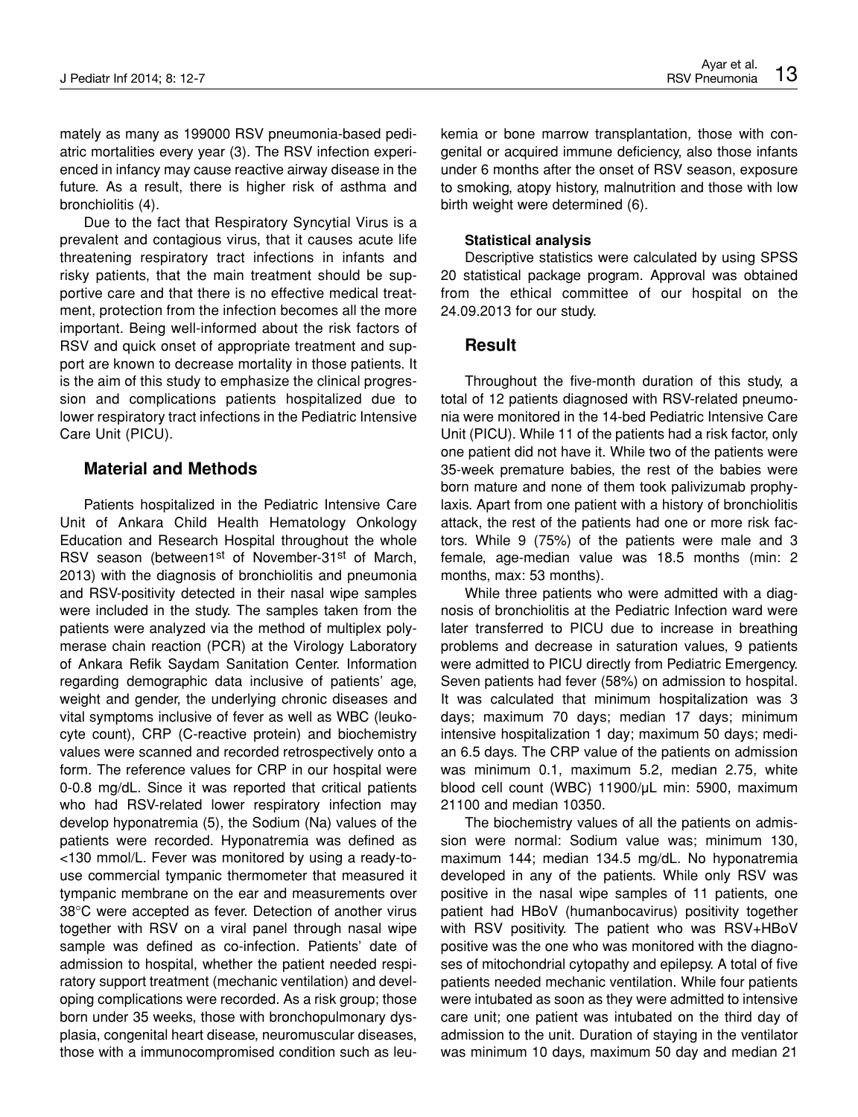mately as many as 199000 RSV pneumonia-based pediatric mortalities every year (3). The RSV infection experienced in infancy may cause reactive airway disease in the future. As a result, there is higher risk of asthma and bronchiolitis (4).

Due to the fact that Respiratory Syncytial Virus is a prevalent and contagious virus, that it causes acute life threatening respiratory tract infections in infants and risky patients, that the main treatment should be supportive care and that there is no effective medical treatment, protection from the infection becomes all the more important. Being well-informed about the risk factors of RSV and quick onset of appropriate treatment and support are known to decrease mortality in those patients. It is the aim of this study to emphasize the clinical progression and complications patients hospitalized due to lower respiratory tract infections in the Pediatric Intensive Care Unit (PICU).

## **Material and Methods**

Patients hospitalized in the Pediatric Intensive Care Unit of Ankara Child Health Hematology Onkology Education and Research Hospital throughout the whole RSV season (between1<sup>st</sup> of November-31<sup>st</sup> of March, 2013) with the diagnosis of bronchiolitis and pneumonia and RSV-positivity detected in their nasal wipe samples were included in the study. The samples taken from the patients were analyzed via the method of multiplex polymerase chain reaction (PCR) at the Virology Laboratory of Ankara Refik Saydam Sanitation Center. Information regarding demographic data inclusive of patients' age, weight and gender, the underlying chronic diseases and vital symptoms inclusive of fever as well as WBC (leukocyte count), CRP (C-reactive protein) and biochemistry values were scanned and recorded retrospectively onto a form. The reference values for CRP in our hospital were 0-0.8 mg/dL. Since it was reported that critical patients who had RSV-related lower respiratory infection may develop hyponatremia (5), the Sodium (Na) values of the patients were recorded. Hyponatremia was defined as <130 mmol/L. Fever was monitored by using a ready-touse commercial tympanic thermometer that measured it tympanic membrane on the ear and measurements over 38°C were accepted as fever. Detection of another virus together with RSV on a viral panel through nasal wipe sample was defined as co-infection. Patients' date of admission to hospital, whether the patient needed respiratory support treatment (mechanic ventilation) and developing complications were recorded. As a risk group; those born under 35 weeks, those with bronchopulmonary dysplasia, congenital heart disease, neuromuscular diseases, those with a immunocompromised condition such as leukemia or bone marrow transplantation, those with congenital or acquired immune deficiency, also those infants under 6 months after the onset of RSV season, exposure to smoking, atopy history, malnutrition and those with low birth weight were determined (6).

#### **Statistical analysis**

Descriptive statistics were calculated by using SPSS 20 statistical package program. Approval was obtained from the ethical committee of our hospital on the 24.09.2013 for our study.

## **Result**

Throughout the five-month duration of this study, a total of 12 patients diagnosed with RSV-related pneumonia were monitored in the 14-bed Pediatric Intensive Care Unit (PICU). While 11 of the patients had a risk factor, only one patient did not have it. While two of the patients were 35-week premature babies, the rest of the babies were born mature and none of them took palivizumab prophylaxis. Apart from one patient with a history of bronchiolitis attack, the rest of the patients had one or more risk factors. While 9 (75%) of the patients were male and 3 female, age-median value was 18.5 months (min: 2 months, max: 53 months).

While three patients who were admitted with a diagnosis of bronchiolitis at the Pediatric Infection ward were later transferred to PICU due to increase in breathing problems and decrease in saturation values, 9 patients were admitted to PICU directly from Pediatric Emergency. Seven patients had fever (58%) on admission to hospital. It was calculated that minimum hospitalization was 3 days; maximum 70 days; median 17 days; minimum intensive hospitalization 1 day; maximum 50 days; median 6.5 days. The CRP value of the patients on admission was minimum 0.1, maximum 5.2, median 2.75, white blood cell count (WBC) 11900/µL min: 5900, maximum 21100 and median 10350.

The biochemistry values of all the patients on admission were normal: Sodium value was; minimum 130, maximum 144; median 134.5 mg/dL. No hyponatremia developed in any of the patients. While only RSV was positive in the nasal wipe samples of 11 patients, one patient had HBoV (humanbocavirus) positivity together with RSV positivity. The patient who was RSV+HBoV positive was the one who was monitored with the diagnoses of mitochondrial cytopathy and epilepsy. A total of five patients needed mechanic ventilation. While four patients were intubated as soon as they were admitted to intensive care unit; one patient was intubated on the third day of admission to the unit. Duration of staying in the ventilator was minimum 10 days, maximum 50 day and median 21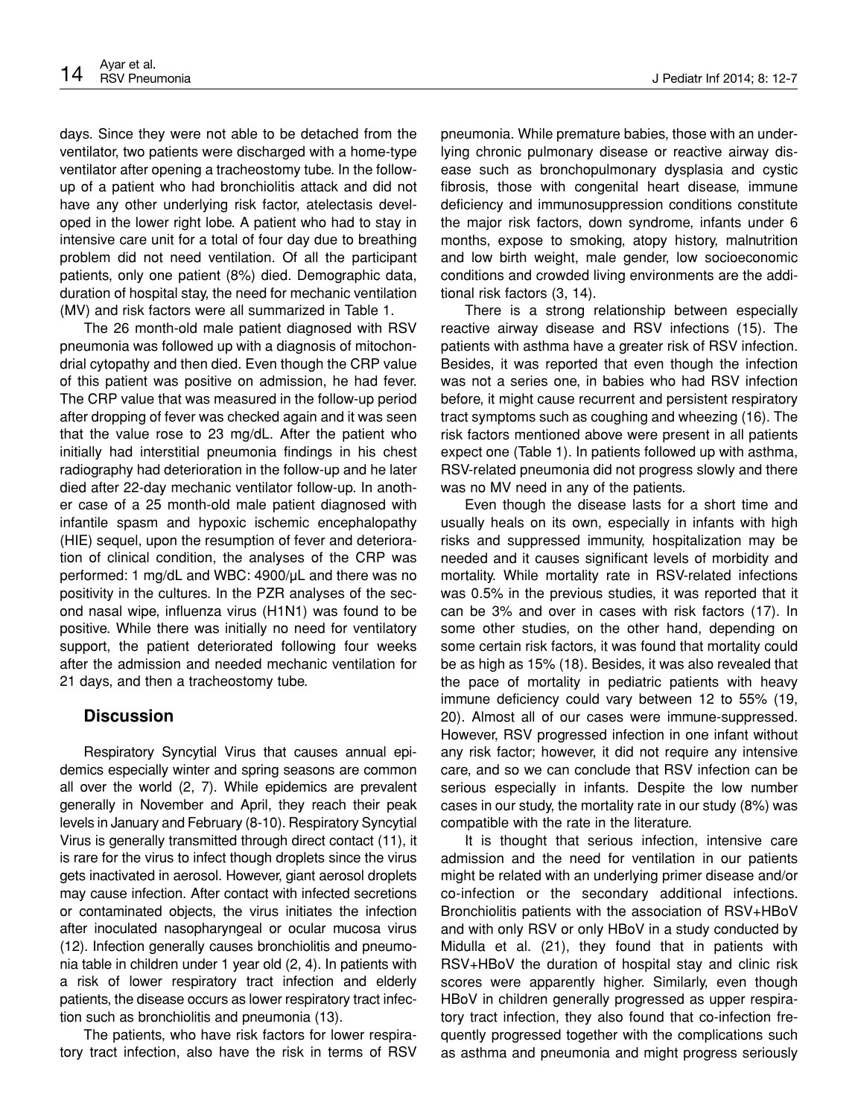days. Since they were not able to be detached from the ventilator, two patients were discharged with a home-type ventilator after opening a tracheostomy tube. In the followup of a patient who had bronchiolitis attack and did not have any other underlying risk factor, atelectasis developed in the lower right lobe. A patient who had to stay in intensive care unit for a total of four day due to breathing problem did not need ventilation. Of all the participant patients, only one patient (8%) died. Demographic data, duration of hospital stay, the need for mechanic ventilation (MV) and risk factors were all summarized in Table 1.

The 26 month-old male patient diagnosed with RSV pneumonia was followed up with a diagnosis of mitochondrial cytopathy and then died. Even though the CRP value of this patient was positive on admission, he had fever. The CRP value that was measured in the follow-up period after dropping of fever was checked again and it was seen that the value rose to 23 mg/dL. After the patient who initially had interstitial pneumonia findings in his chest radiography had deterioration in the follow-up and he later died after 22-day mechanic ventilator follow-up. In another case of a 25 month-old male patient diagnosed with infantile spasm and hypoxic ischemic encephalopathy (HIE) sequel, upon the resumption of fever and deterioration of clinical condition, the analyses of the CRP was performed: 1 mg/dL and WBC: 4900/µL and there was no positivity in the cultures. In the PZR analyses of the second nasal wipe, influenza virus (H1N1) was found to be positive. While there was initially no need for ventilatory support, the patient deteriorated following four weeks after the admission and needed mechanic ventilation for 21 days, and then a tracheostomy tube.

# **Discussion**

Respiratory Syncytial Virus that causes annual epidemics especially winter and spring seasons are common all over the world (2, 7). While epidemics are prevalent generally in November and April, they reach their peak levels in January and February (8-10). Respiratory Syncytial Virus is generally transmitted through direct contact (11), it is rare for the virus to infect though droplets since the virus gets inactivated in aerosol. However, giant aerosol droplets may cause infection. After contact with infected secretions or contaminated objects, the virus initiates the infection after inoculated nasopharyngeal or ocular mucosa virus (12). Infection generally causes bronchiolitis and pneumonia table in children under 1 year old (2, 4). In patients with a risk of lower respiratory tract infection and elderly patients, the disease occurs as lower respiratory tract infection such as bronchiolitis and pneumonia (13).

The patients, who have risk factors for lower respiratory tract infection, also have the risk in terms of RSV pneumonia. While premature babies, those with an underlying chronic pulmonary disease or reactive airway disease such as bronchopulmonary dysplasia and cystic fibrosis, those with congenital heart disease, immune deficiency and immunosuppression conditions constitute the major risk factors, down syndrome, infants under 6 months, expose to smoking, atopy history, malnutrition and low birth weight, male gender, low socioeconomic conditions and crowded living environments are the additional risk factors (3, 14).

There is a strong relationship between especially reactive airway disease and RSV infections (15). The patients with asthma have a greater risk of RSV infection. Besides, it was reported that even though the infection was not a series one, in babies who had RSV infection before, it might cause recurrent and persistent respiratory tract symptoms such as coughing and wheezing (16). The risk factors mentioned above were present in all patients expect one (Table 1). In patients followed up with asthma, RSV-related pneumonia did not progress slowly and there was no MV need in any of the patients.

Even though the disease lasts for a short time and usually heals on its own, especially in infants with high risks and suppressed immunity, hospitalization may be needed and it causes significant levels of morbidity and mortality. While mortality rate in RSV-related infections was 0.5% in the previous studies, it was reported that it can be 3% and over in cases with risk factors (17). In some other studies, on the other hand, depending on some certain risk factors, it was found that mortality could be as high as 15% (18). Besides, it was also revealed that the pace of mortality in pediatric patients with heavy immune deficiency could vary between 12 to 55% (19, 20). Almost all of our cases were immune-suppressed. However, RSV progressed infection in one infant without any risk factor; however, it did not require any intensive care, and so we can conclude that RSV infection can be serious especially in infants. Despite the low number cases in our study, the mortality rate in our study (8%) was compatible with the rate in the literature.

It is thought that serious infection, intensive care admission and the need for ventilation in our patients might be related with an underlying primer disease and/or co-infection or the secondary additional infections. Bronchiolitis patients with the association of RSV+HBoV and with only RSV or only HBoV in a study conducted by Midulla et al. (21), they found that in patients with RSV+HBoV the duration of hospital stay and clinic risk scores were apparently higher. Similarly, even though HBoV in children generally progressed as upper respiratory tract infection, they also found that co-infection frequently progressed together with the complications such as asthma and pneumonia and might progress seriously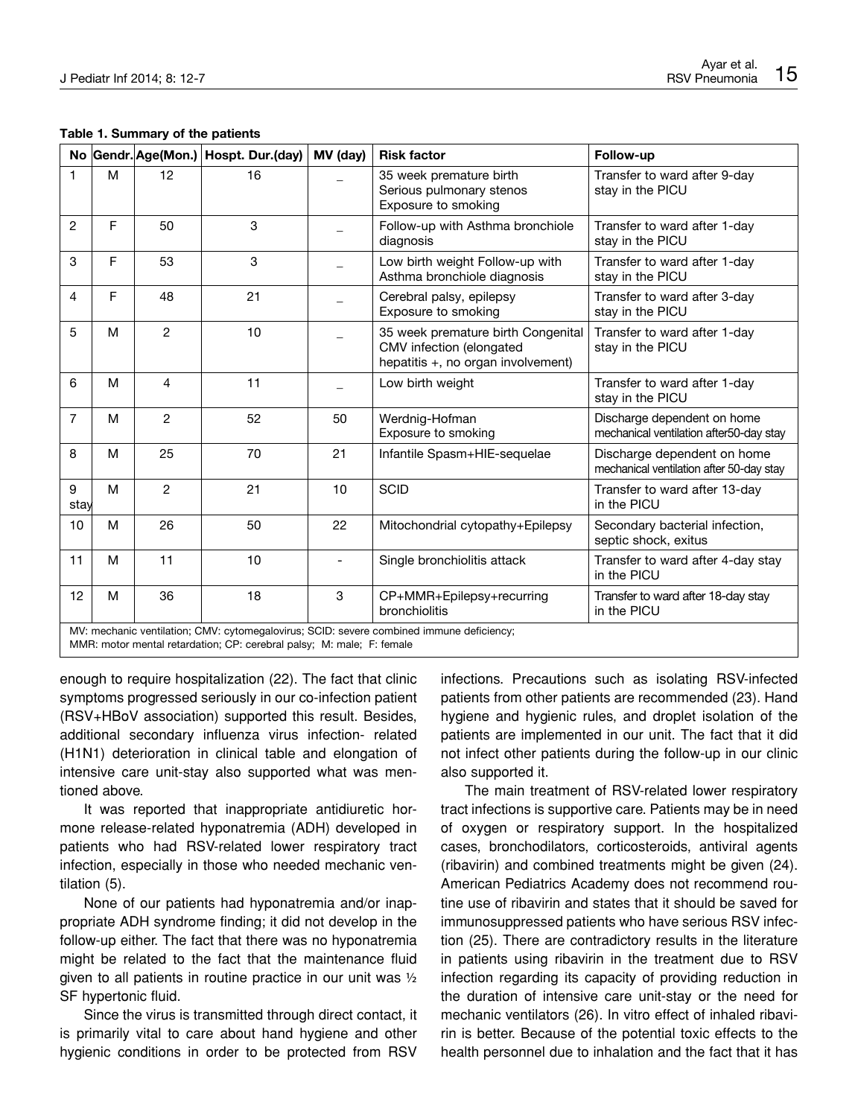| Table 1. Summary of the patients |  |  |
|----------------------------------|--|--|
|----------------------------------|--|--|

|                |                                                                                                                                                                   |                | No Gendr. Age(Mon.) Hospt. Dur. (day) | MV (day)                 | <b>Risk factor</b>                                                                                   | Follow-up                                                               |  |
|----------------|-------------------------------------------------------------------------------------------------------------------------------------------------------------------|----------------|---------------------------------------|--------------------------|------------------------------------------------------------------------------------------------------|-------------------------------------------------------------------------|--|
| 1              | M                                                                                                                                                                 | 12             | 16                                    |                          | 35 week premature birth<br>Serious pulmonary stenos<br>Exposure to smoking                           | Transfer to ward after 9-day<br>stay in the PICU                        |  |
| $\overline{2}$ | F                                                                                                                                                                 | 50             | 3                                     |                          | Follow-up with Asthma bronchiole<br>diagnosis                                                        | Transfer to ward after 1-day<br>stay in the PICU                        |  |
| 3              | F                                                                                                                                                                 | 53             | 3                                     |                          | Low birth weight Follow-up with<br>Asthma bronchiole diagnosis                                       | Transfer to ward after 1-day<br>stay in the PICU                        |  |
| 4              | F                                                                                                                                                                 | 48             | 21                                    |                          | Cerebral palsy, epilepsy<br>Exposure to smoking                                                      | Transfer to ward after 3-day<br>stay in the PICU                        |  |
| 5              | M                                                                                                                                                                 | $\overline{c}$ | 10                                    |                          | 35 week premature birth Congenital<br>CMV infection (elongated<br>hepatitis +, no organ involvement) | Transfer to ward after 1-day<br>stay in the PICU                        |  |
| 6              | M                                                                                                                                                                 | 4              | 11                                    |                          | Low birth weight                                                                                     | Transfer to ward after 1-day<br>stay in the PICU                        |  |
| $\overline{7}$ | м                                                                                                                                                                 | 2              | 52                                    | 50                       | Werdnig-Hofman<br>Exposure to smoking                                                                | Discharge dependent on home<br>mechanical ventilation after50-day stay  |  |
| 8              | M                                                                                                                                                                 | 25             | 70                                    | 21                       | Infantile Spasm+HIE-sequelae                                                                         | Discharge dependent on home<br>mechanical ventilation after 50-day stay |  |
| 9<br>stay      | M                                                                                                                                                                 | $\overline{c}$ | 21                                    | 10                       | <b>SCID</b>                                                                                          | Transfer to ward after 13-day<br>in the PICU                            |  |
| 10             | M                                                                                                                                                                 | 26             | 50                                    | 22                       | Mitochondrial cytopathy+Epilepsy                                                                     | Secondary bacterial infection,<br>septic shock, exitus                  |  |
| 11             | M                                                                                                                                                                 | 11             | 10                                    | $\overline{\phantom{a}}$ | Single bronchiolitis attack                                                                          | Transfer to ward after 4-day stay<br>in the PICU                        |  |
| 12             | M                                                                                                                                                                 | 36             | 18                                    | 3                        | CP+MMR+Epilepsy+recurring<br>bronchiolitis                                                           | Transfer to ward after 18-day stay<br>in the PICU                       |  |
|                | MV: mechanic ventilation; CMV: cytomegalovirus; SCID: severe combined immune deficiency;<br>MMR: motor mental retardation; CP: cerebral palsy; M: male; F: female |                |                                       |                          |                                                                                                      |                                                                         |  |

enough to require hospitalization (22). The fact that clinic symptoms progressed seriously in our co-infection patient (RSV+HBoV association) supported this result. Besides, additional secondary influenza virus infection- related (H1N1) deterioration in clinical table and elongation of intensive care unit-stay also supported what was mentioned above.

It was reported that inappropriate antidiuretic hormone release-related hyponatremia (ADH) developed in patients who had RSV-related lower respiratory tract infection, especially in those who needed mechanic ventilation (5).

None of our patients had hyponatremia and/or inappropriate ADH syndrome finding; it did not develop in the follow-up either. The fact that there was no hyponatremia might be related to the fact that the maintenance fluid given to all patients in routine practice in our unit was ½ SF hypertonic fluid.

Since the virus is transmitted through direct contact, it is primarily vital to care about hand hygiene and other hygienic conditions in order to be protected from RSV infections. Precautions such as isolating RSV-infected patients from other patients are recommended (23). Hand hygiene and hygienic rules, and droplet isolation of the patients are implemented in our unit. The fact that it did not infect other patients during the follow-up in our clinic also supported it.

The main treatment of RSV-related lower respiratory tract infections is supportive care. Patients may be in need of oxygen or respiratory support. In the hospitalized cases, bronchodilators, corticosteroids, antiviral agents (ribavirin) and combined treatments might be given (24). American Pediatrics Academy does not recommend routine use of ribavirin and states that it should be saved for immunosuppressed patients who have serious RSV infection (25). There are contradictory results in the literature in patients using ribavirin in the treatment due to RSV infection regarding its capacity of providing reduction in the duration of intensive care unit-stay or the need for mechanic ventilators (26). In vitro effect of inhaled ribavirin is better. Because of the potential toxic effects to the health personnel due to inhalation and the fact that it has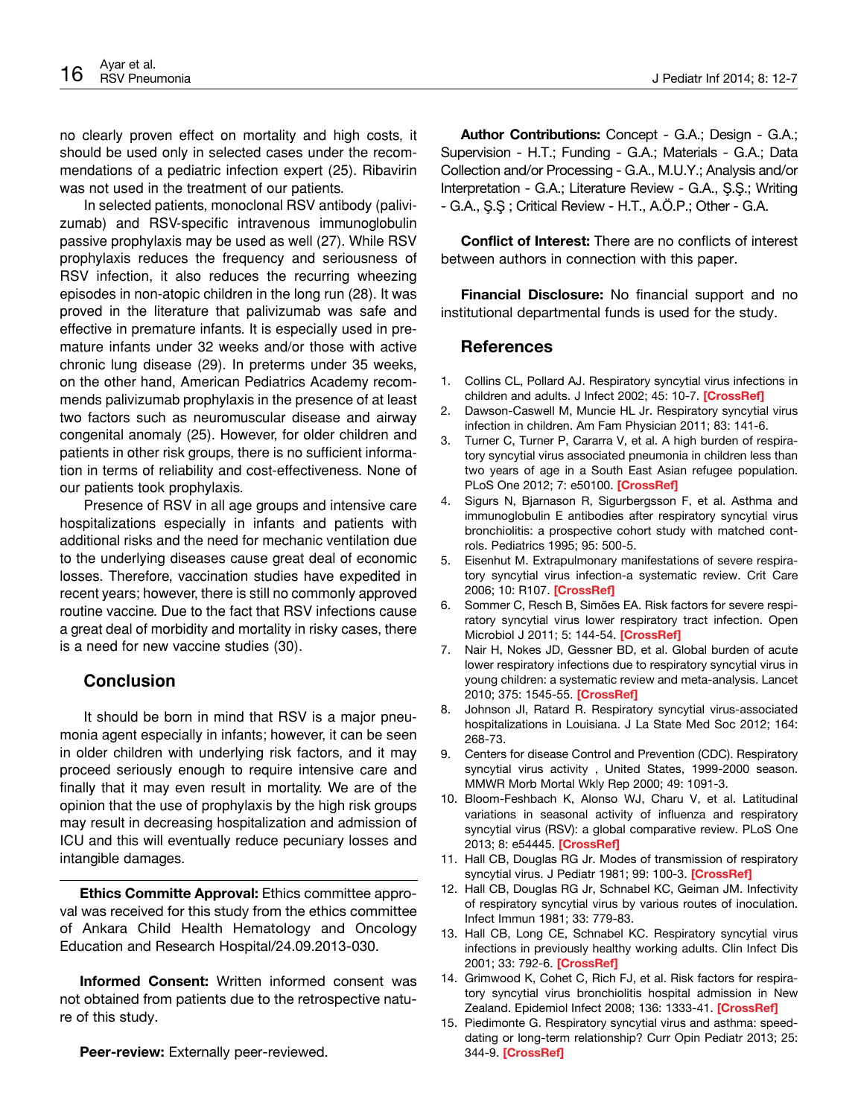no clearly proven effect on mortality and high costs, it should be used only in selected cases under the recommendations of a pediatric infection expert (25). Ribavirin was not used in the treatment of our patients.

In selected patients, monoclonal RSV antibody (palivizumab) and RSV-specific intravenous immunoglobulin passive prophylaxis may be used as well (27). While RSV prophylaxis reduces the frequency and seriousness of RSV infection, it also reduces the recurring wheezing episodes in non-atopic children in the long run (28). It was proved in the literature that palivizumab was safe and effective in premature infants. It is especially used in premature infants under 32 weeks and/or those with active chronic lung disease (29). In preterms under 35 weeks, on the other hand, American Pediatrics Academy recommends palivizumab prophylaxis in the presence of at least two factors such as neuromuscular disease and airway congenital anomaly (25). However, for older children and patients in other risk groups, there is no sufficient information in terms of reliability and cost-effectiveness. None of our patients took prophylaxis.

Presence of RSV in all age groups and intensive care hospitalizations especially in infants and patients with additional risks and the need for mechanic ventilation due to the underlying diseases cause great deal of economic losses. Therefore, vaccination studies have expedited in recent years; however, there is still no commonly approved routine vaccine. Due to the fact that RSV infections cause a great deal of morbidity and mortality in risky cases, there is a need for new vaccine studies (30).

## **Conclusion**

It should be born in mind that RSV is a major pneumonia agent especially in infants; however, it can be seen in older children with underlying risk factors, and it may proceed seriously enough to require intensive care and finally that it may even result in mortality. We are of the opinion that the use of prophylaxis by the high risk groups may result in decreasing hospitalization and admission of ICU and this will eventually reduce pecuniary losses and intangible damages.

**Ethics Committe Approval:** Ethics committee approval was received for this study from the ethics committee of Ankara Child Health Hematology and Oncology Education and Research Hospital/24.09.2013-030.

**Informed Consent:** Written informed consent was not obtained from patients due to the retrospective nature of this study.

**Peer-review:** Externally peer-reviewed.

**Author Contributions:** Concept - G.A.; Design - G.A.; Supervision - H.T.; Funding - G.A.; Materials - G.A.; Data Collection and/or Processing - G.A., M.U.Y.; Analysis and/or Interpretation - G.A.; Literature Review - G.A., Ş.Ş.; Writing - G.A., Ş.Ş ; Critical Review - H.T., A.Ö.P.; Other - G.A.

**Conflict of Interest:** There are no conflicts of interest between authors in connection with this paper.

**Financial Disclosure:** No financial support and no institutional departmental funds is used for the study.

#### **References**

- 1. Collins CL, Pollard AJ. Respiratory syncytial virus infections in children and adults. J Infect 2002; 45: 10-7. **[[CrossRef](http://dx.doi.org/10.1053/jinf.2001.1016)]**
- 2. Dawson-Caswell M, Muncie HL Jr. Respiratory syncytial virus infection in children. Am Fam Physician 2011; 83: 141-6.
- 3. Turner C, Turner P, Cararra V, et al. A high burden of respiratory syncytial virus associated pneumonia in children less than two years of age in a South East Asian refugee population. PLoS One 2012; 7: e50100. **[\[CrossRef](http://dx.doi.org/10.1371/journal.pone.0050100)]**
- 4. Sigurs N, Bjarnason R, Sigurbergsson F, et al. Asthma and immunoglobulin E antibodies after respiratory syncytial virus bronchiolitis: a prospective cohort study with matched controls. Pediatrics 1995; 95: 500-5.
- 5. Eisenhut M. Extrapulmonary manifestations of severe respiratory syncytial virus infection-a systematic review. Crit Care 2006; 10: R107. **[\[CrossRef](http://dx.doi.org/10.1186/cc4454)]**
- 6. Sommer C, Resch B, Simões EA. Risk factors for severe respiratory syncytial virus lower respiratory tract infection. Open Microbiol J 2011; 5: 144-54. **[\[CrossRef](http://dx.doi.org/10.2174/1874285801105010144)]**
- 7. Nair H, Nokes JD, Gessner BD, et al. Global burden of acute lower respiratory infections due to respiratory syncytial virus in young children: a systematic review and meta-analysis. Lancet 2010; 375: 1545-55. **[[CrossRef](http://dx.doi.org/10.1016/S0140-6736(10)60206-1)]**
- 8. Johnson JI, Ratard R. Respiratory syncytial virus-associated hospitalizations in Louisiana. J La State Med Soc 2012; 164: 268-73.
- 9. Centers for disease Control and Prevention (CDC). Respiratory syncytial virus activity , United States, 1999-2000 season. MMWR Morb Mortal Wkly Rep 2000; 49: 1091-3.
- 10. Bloom-Feshbach K, Alonso WJ, Charu V, et al. Latitudinal variations in seasonal activity of influenza and respiratory syncytial virus (RSV): a global comparative review. PLoS One 2013; 8: e54445. **[[CrossRef\]](http://dx.doi.org/10.1371/journal.pone.0054445)**
- 11. Hall CB, Douglas RG Jr. Modes of transmission of respiratory syncytial virus. J Pediatr 1981; 99: 100-3. **[[CrossRef\]](http://dx.doi.org/10.1016/S0022-3476(81)80969-9)**
- 12. Hall CB, Douglas RG Jr, Schnabel KC, Geiman JM. Infectivity of respiratory syncytial virus by various routes of inoculation. Infect Immun 1981; 33: 779-83.
- 13. Hall CB, Long CE, Schnabel KC. Respiratory syncytial virus infections in previously healthy working adults. Clin Infect Dis 2001; 33: 792-6. **[[CrossRef](http://dx.doi.org/10.1086/322657)]**
- 14. Grimwood K, Cohet C, Rich FJ, et al. Risk factors for respiratory syncytial virus bronchiolitis hospital admission in New Zealand. Epidemiol Infect 2008; 136: 1333-41. **[\[CrossRef]( http://dx.doi.org/10.1017/S0950268807000180 )]**
- 15. Piedimonte G. Respiratory syncytial virus and asthma: speeddating or long-term relationship? Curr Opin Pediatr 2013; 25: 344-9. **[\[CrossRef](http://dx.doi.org/10.1097/MOP.0b013e328360bd2e)]**